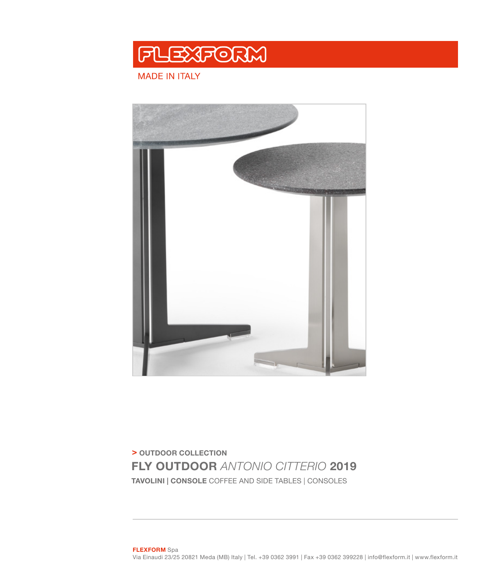FLEXFORM

**MADE IN ITALY** 



**FLY OUTDOOR** *ANTONIO CITTERIO* **2019 TAVOLINI | CONSOLE** COFFEE AND SIDE TABLES | CONSOLES **> OUTDOOR COLLECTION**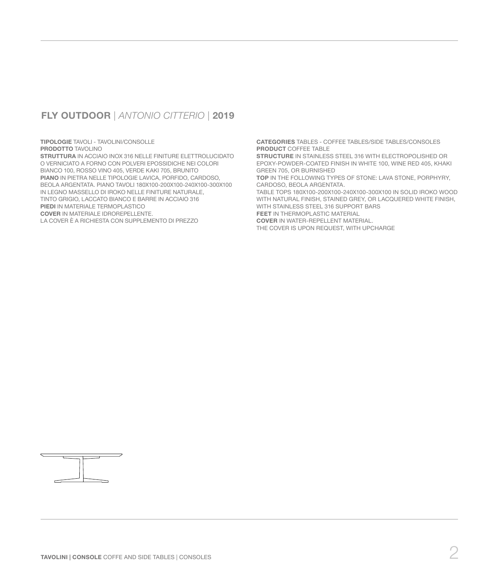## **FLY OUTDOOR** *| ANTONIO CITTERIO |* **2019**

**TIPOLOGIE** TAVOLI - TAVOLINI/CONSOLLE **PRODOTTO** TAVOLINO

**STRUTTURA** IN ACCIAIO INOX 316 NELLE FINITURE ELETTROLUCIDATO O VERNICIATO A FORNO CON POLVERI EPOSSIDICHE NEI COLORI BIANCO 100, ROSSO VINO 405, VERDE KAKI 705, BRUNITO **PIANO** IN PIETRA NELLE TIPOLOGIE LAVICA, PORFIDO, CARDOSO, BEOLA ARGENTATA. PIANO TAVOLI 180X100-200X100-240X100-300X100 IN LEGNO MASSELLO DI IROKO NELLE FINITURE NATURALE, TINTO GRIGIO, LACCATO BIANCO E BARRE IN ACCIAIO 316 **PIEDI** IN MATERIALE TERMOPLASTICO **COVER** IN MATERIALE IDROREPELLENTE. LA COVER È A RICHIESTA CON SUPPLEMENTO DI PREZZO

**CATEGORIES** TABLES - COFFEE TABLES/SIDE TABLES/CONSOLES **PRODUCT** COFFEE TABLE

**STRUCTURE** IN STAINLESS STEEL 316 WITH ELECTROPOLISHED OR EPOXY-POWDER-COATED FINISH IN WHITE 100, WINE RED 405, KHAKI GREEN 705, OR BURNISHED

**TOP** IN THE FOLLOWING TYPES OF STONE: LAVA STONE, PORPHYRY, CARDOSO, BEOLA ARGENTATA.

TABLE TOPS 180X100-200X100-240X100-300X100 IN SOLID IROKO WOOD WITH NATURAL FINISH, STAINED GREY, OR LACQUERED WHITE FINISH, WITH STAINLESS STEEL 316 SUPPORT BARS

**FEET** IN THERMOPLASTIC MATERIAL **COVER** IN WATER-REPELLENT MATERIAL.

THE COVER IS UPON REQUEST, WITH UPCHARGE

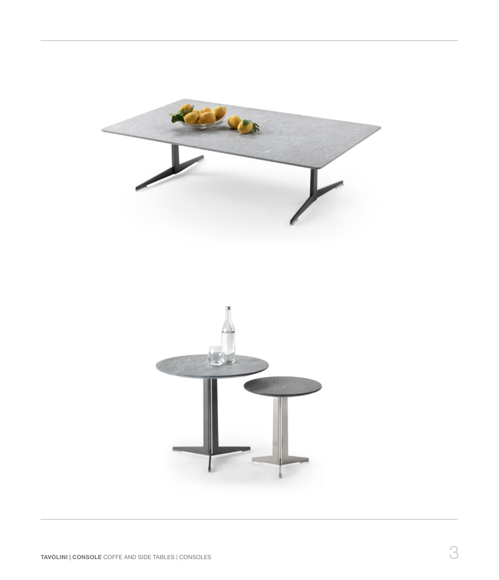